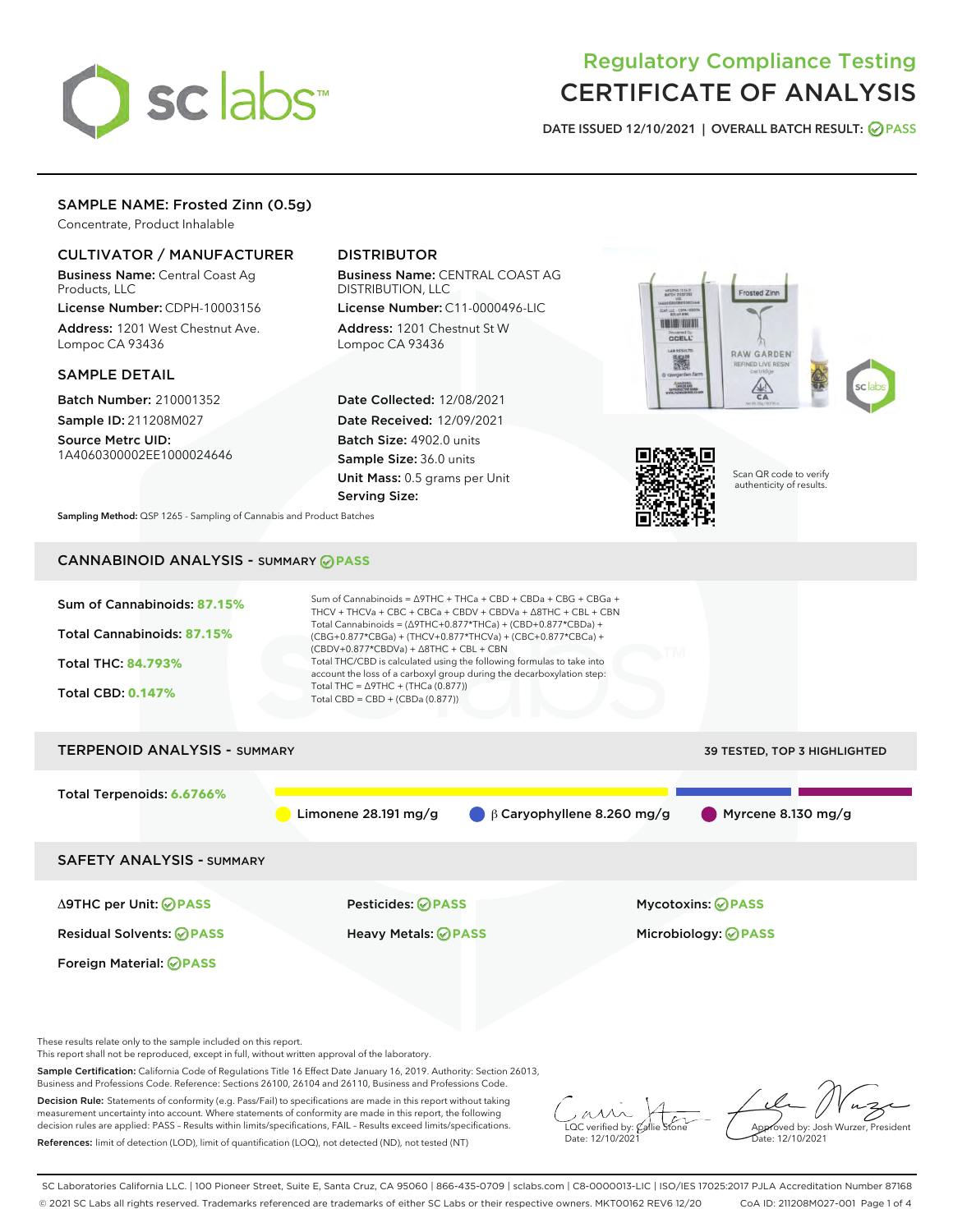

# Regulatory Compliance Testing CERTIFICATE OF ANALYSIS

DATE ISSUED 12/10/2021 | OVERALL BATCH RESULT: @ PASS

# SAMPLE NAME: Frosted Zinn (0.5g)

Concentrate, Product Inhalable

# CULTIVATOR / MANUFACTURER

Business Name: Central Coast Ag Products, LLC

License Number: CDPH-10003156 Address: 1201 West Chestnut Ave. Lompoc CA 93436

### SAMPLE DETAIL

Batch Number: 210001352 Sample ID: 211208M027

Source Metrc UID: 1A4060300002EE1000024646

# DISTRIBUTOR

Business Name: CENTRAL COAST AG DISTRIBUTION, LLC

License Number: C11-0000496-LIC Address: 1201 Chestnut St W Lompoc CA 93436

Date Collected: 12/08/2021 Date Received: 12/09/2021 Batch Size: 4902.0 units Sample Size: 36.0 units Unit Mass: 0.5 grams per Unit Serving Size:





Scan QR code to verify authenticity of results.

Sampling Method: QSP 1265 - Sampling of Cannabis and Product Batches

# CANNABINOID ANALYSIS - SUMMARY **PASS**



These results relate only to the sample included on this report.

This report shall not be reproduced, except in full, without written approval of the laboratory.

Sample Certification: California Code of Regulations Title 16 Effect Date January 16, 2019. Authority: Section 26013, Business and Professions Code. Reference: Sections 26100, 26104 and 26110, Business and Professions Code.

Decision Rule: Statements of conformity (e.g. Pass/Fail) to specifications are made in this report without taking measurement uncertainty into account. Where statements of conformity are made in this report, the following decision rules are applied: PASS – Results within limits/specifications, FAIL – Results exceed limits/specifications. References: limit of detection (LOD), limit of quantification (LOQ), not detected (ND), not tested (NT)

 $\overline{\text{C}}$  verified by:  $\mathcal C$ Date: 12/10/2021

**A**<br>Approved by: Josh Wurzer, President ate: 12/10/2021

SC Laboratories California LLC. | 100 Pioneer Street, Suite E, Santa Cruz, CA 95060 | 866-435-0709 | sclabs.com | C8-0000013-LIC | ISO/IES 17025:2017 PJLA Accreditation Number 87168 © 2021 SC Labs all rights reserved. Trademarks referenced are trademarks of either SC Labs or their respective owners. MKT00162 REV6 12/20 CoA ID: 211208M027-001 Page 1 of 4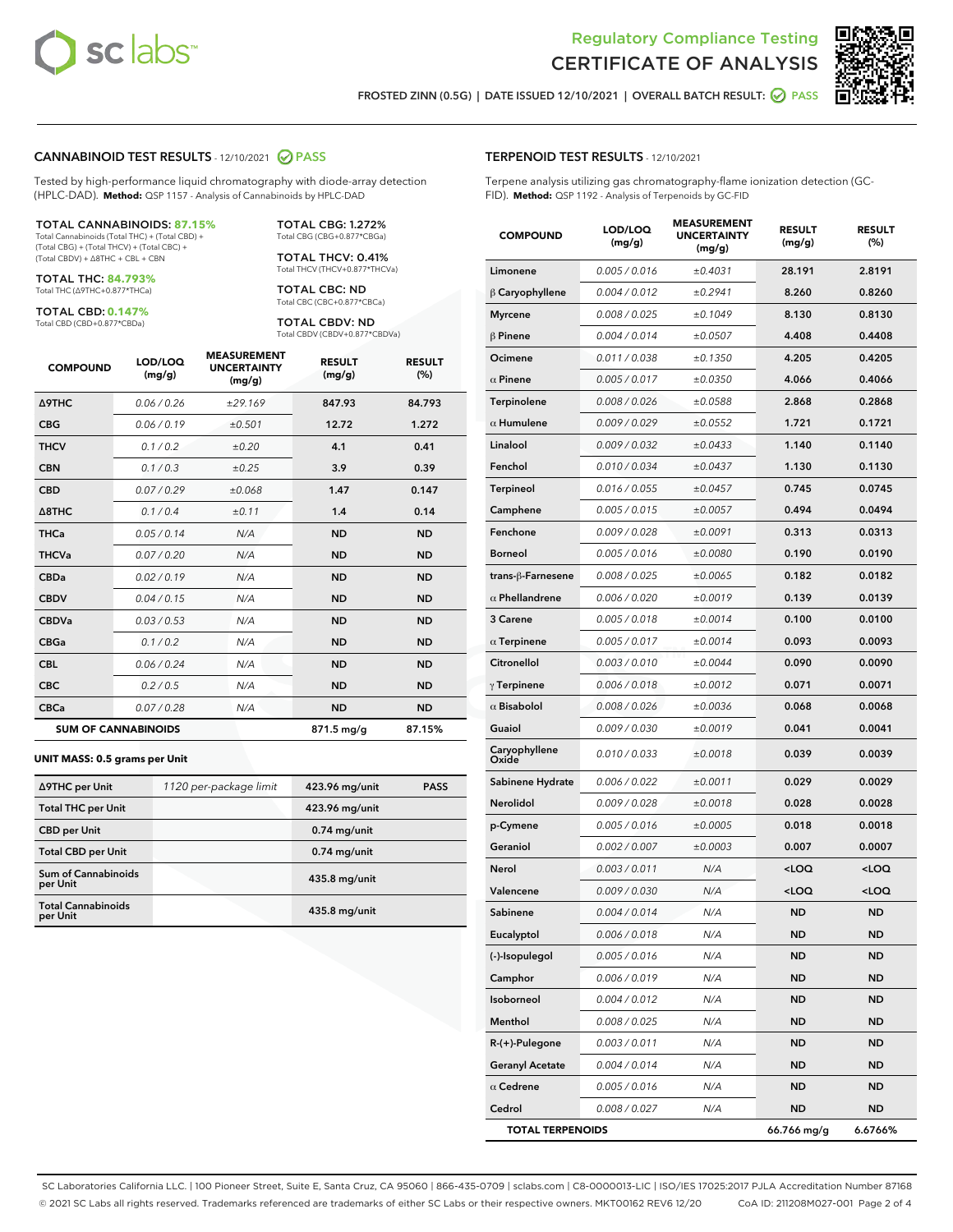



FROSTED ZINN (0.5G) | DATE ISSUED 12/10/2021 | OVERALL BATCH RESULT: @ PASS

### CANNABINOID TEST RESULTS - 12/10/2021 2 PASS

Tested by high-performance liquid chromatography with diode-array detection (HPLC-DAD). **Method:** QSP 1157 - Analysis of Cannabinoids by HPLC-DAD

#### TOTAL CANNABINOIDS: **87.15%**

Total Cannabinoids (Total THC) + (Total CBD) + (Total CBG) + (Total THCV) + (Total CBC) + (Total CBDV) + ∆8THC + CBL + CBN

TOTAL THC: **84.793%** Total THC (∆9THC+0.877\*THCa)

TOTAL CBD: **0.147%**

Total CBD (CBD+0.877\*CBDa)

TOTAL CBG: 1.272% Total CBG (CBG+0.877\*CBGa)

TOTAL THCV: 0.41% Total THCV (THCV+0.877\*THCVa)

TOTAL CBC: ND Total CBC (CBC+0.877\*CBCa)

TOTAL CBDV: ND Total CBDV (CBDV+0.877\*CBDVa)

| <b>COMPOUND</b>            | LOD/LOQ<br>(mg/g) | <b>MEASUREMENT</b><br><b>UNCERTAINTY</b><br>(mg/g) | <b>RESULT</b><br>(mg/g) | <b>RESULT</b><br>(%) |
|----------------------------|-------------------|----------------------------------------------------|-------------------------|----------------------|
| <b>A9THC</b>               | 0.06/0.26         | ±29.169                                            | 847.93                  | 84.793               |
| <b>CBG</b>                 | 0.06/0.19         | ±0.501                                             | 12.72                   | 1.272                |
| <b>THCV</b>                | 0.1/0.2           | ±0.20                                              | 4.1                     | 0.41                 |
| <b>CBN</b>                 | 0.1/0.3           | ±0.25                                              | 3.9                     | 0.39                 |
| <b>CBD</b>                 | 0.07/0.29         | ±0.068                                             | 1.47                    | 0.147                |
| $\triangle$ 8THC           | 0.1 / 0.4         | ±0.11                                              | 1.4                     | 0.14                 |
| <b>THCa</b>                | 0.05/0.14         | N/A                                                | <b>ND</b>               | <b>ND</b>            |
| <b>THCVa</b>               | 0.07 / 0.20       | N/A                                                | <b>ND</b>               | <b>ND</b>            |
| <b>CBDa</b>                | 0.02/0.19         | N/A                                                | <b>ND</b>               | <b>ND</b>            |
| <b>CBDV</b>                | 0.04 / 0.15       | N/A                                                | <b>ND</b>               | <b>ND</b>            |
| <b>CBDVa</b>               | 0.03 / 0.53       | N/A                                                | <b>ND</b>               | <b>ND</b>            |
| <b>CBGa</b>                | 0.1/0.2           | N/A                                                | <b>ND</b>               | <b>ND</b>            |
| <b>CBL</b>                 | 0.06 / 0.24       | N/A                                                | <b>ND</b>               | <b>ND</b>            |
| <b>CBC</b>                 | 0.2 / 0.5         | N/A                                                | <b>ND</b>               | <b>ND</b>            |
| <b>CBCa</b>                | 0.07/0.28         | N/A                                                | <b>ND</b>               | <b>ND</b>            |
| <b>SUM OF CANNABINOIDS</b> |                   |                                                    | 871.5 mg/g              | 87.15%               |

#### **UNIT MASS: 0.5 grams per Unit**

| ∆9THC per Unit                         | 1120 per-package limit | 423.96 mg/unit | <b>PASS</b> |
|----------------------------------------|------------------------|----------------|-------------|
| <b>Total THC per Unit</b>              |                        | 423.96 mg/unit |             |
| <b>CBD</b> per Unit                    |                        | $0.74$ mg/unit |             |
| <b>Total CBD per Unit</b>              |                        | $0.74$ mg/unit |             |
| <b>Sum of Cannabinoids</b><br>per Unit |                        | 435.8 mg/unit  |             |
| <b>Total Cannabinoids</b><br>per Unit  |                        | 435.8 mg/unit  |             |

| <b>COMPOUND</b>         | LOD/LOQ<br>(mg/g) | ASUKEIVI<br><b>UNCERTAINTY</b><br>(mg/g) | <b>RESULT</b><br>(mg/g)                         | <b>RESULT</b><br>$(\%)$ |
|-------------------------|-------------------|------------------------------------------|-------------------------------------------------|-------------------------|
| Limonene                | 0.005 / 0.016     | ±0.4031                                  | 28.191                                          | 2.8191                  |
| $\beta$ Caryophyllene   | 0.004 / 0.012     | ±0.2941                                  | 8.260                                           | 0.8260                  |
| <b>Myrcene</b>          | 0.008 / 0.025     | ±0.1049                                  | 8.130                                           | 0.8130                  |
| $\beta$ Pinene          | 0.004 / 0.014     | ±0.0507                                  | 4.408                                           | 0.4408                  |
| Ocimene                 | 0.011 / 0.038     | ±0.1350                                  | 4.205                                           | 0.4205                  |
| $\alpha$ Pinene         | 0.005 / 0.017     | ±0.0350                                  | 4.066                                           | 0.4066                  |
| Terpinolene             | 0.008 / 0.026     | ±0.0588                                  | 2.868                                           | 0.2868                  |
| $\alpha$ Humulene       | 0.009/0.029       | ±0.0552                                  | 1.721                                           | 0.1721                  |
| Linalool                | 0.009 / 0.032     | ±0.0433                                  | 1.140                                           | 0.1140                  |
| Fenchol                 | 0.010 / 0.034     | ±0.0437                                  | 1.130                                           | 0.1130                  |
| Terpineol               | 0.016 / 0.055     | ±0.0457                                  | 0.745                                           | 0.0745                  |
| Camphene                | 0.005 / 0.015     | ±0.0057                                  | 0.494                                           | 0.0494                  |
| Fenchone                | 0.009 / 0.028     | ±0.0091                                  | 0.313                                           | 0.0313                  |
| <b>Borneol</b>          | 0.005 / 0.016     | ±0.0080                                  | 0.190                                           | 0.0190                  |
| trans-β-Farnesene       | 0.008 / 0.025     | ±0.0065                                  | 0.182                                           | 0.0182                  |
| $\alpha$ Phellandrene   | 0.006 / 0.020     | ±0.0019                                  | 0.139                                           | 0.0139                  |
| 3 Carene                | 0.005 / 0.018     | ±0.0014                                  | 0.100                                           | 0.0100                  |
| $\alpha$ Terpinene      | 0.005 / 0.017     | ±0.0014                                  | 0.093                                           | 0.0093                  |
| Citronellol             | 0.003 / 0.010     | ±0.0044                                  | 0.090                                           | 0.0090                  |
| $\gamma$ Terpinene      | 0.006 / 0.018     | ±0.0012                                  | 0.071                                           | 0.0071                  |
| $\alpha$ Bisabolol      | 0.008 / 0.026     | ±0.0036                                  | 0.068                                           | 0.0068                  |
| Guaiol                  | 0.009 / 0.030     | ±0.0019                                  | 0.041                                           | 0.0041                  |
| Caryophyllene<br>Oxide  | 0.010 / 0.033     | ±0.0018                                  | 0.039                                           | 0.0039                  |
| Sabinene Hydrate        | 0.006 / 0.022     | ±0.0011                                  | 0.029                                           | 0.0029                  |
| Nerolidol               | 0.009 / 0.028     | ±0.0018                                  | 0.028                                           | 0.0028                  |
| p-Cymene                | 0.005 / 0.016     | ±0.0005                                  | 0.018                                           | 0.0018                  |
| Geraniol                | 0.002 / 0.007     | ±0.0003                                  | 0.007                                           | 0.0007                  |
| Nerol                   | 0.003 / 0.011     | N/A                                      | <loq< th=""><th><loq< th=""></loq<></th></loq<> | <loq< th=""></loq<>     |
| Valencene               | 0.009 / 0.030     | N/A                                      | <loq< th=""><th><loq< th=""></loq<></th></loq<> | <loq< th=""></loq<>     |
| Sabinene                | 0.004 / 0.014     | N/A                                      | <b>ND</b>                                       | <b>ND</b>               |
| Eucalyptol              | 0.006 / 0.018     | N/A                                      | ND                                              | ND                      |
| (-)-Isopulegol          | 0.005 / 0.016     | N/A                                      | ND                                              | ND                      |
| Camphor                 | 0.006 / 0.019     | N/A                                      | ND                                              | <b>ND</b>               |
| Isoborneol              | 0.004 / 0.012     | N/A                                      | ND                                              | ND                      |
| Menthol                 | 0.008 / 0.025     | N/A                                      | ND                                              | ND                      |
| R-(+)-Pulegone          | 0.003 / 0.011     | N/A                                      | <b>ND</b>                                       | <b>ND</b>               |
| <b>Geranyl Acetate</b>  | 0.004 / 0.014     | N/A                                      | ND                                              | ND                      |
| $\alpha$ Cedrene        | 0.005 / 0.016     | N/A                                      | ND                                              | ND                      |
| Cedrol                  | 0.008 / 0.027     | N/A                                      | ND                                              | ND                      |
| <b>TOTAL TERPENOIDS</b> |                   |                                          | 66.766 mg/g                                     | 6.6766%                 |

SC Laboratories California LLC. | 100 Pioneer Street, Suite E, Santa Cruz, CA 95060 | 866-435-0709 | sclabs.com | C8-0000013-LIC | ISO/IES 17025:2017 PJLA Accreditation Number 87168 © 2021 SC Labs all rights reserved. Trademarks referenced are trademarks of either SC Labs or their respective owners. MKT00162 REV6 12/20 CoA ID: 211208M027-001 Page 2 of 4

# TERPENOID TEST RESULTS - 12/10/2021

Terpene analysis utilizing gas chromatography-flame ionization detection (GC-FID). **Method:** QSP 1192 - Analysis of Terpenoids by GC-FID

MEASUREMENT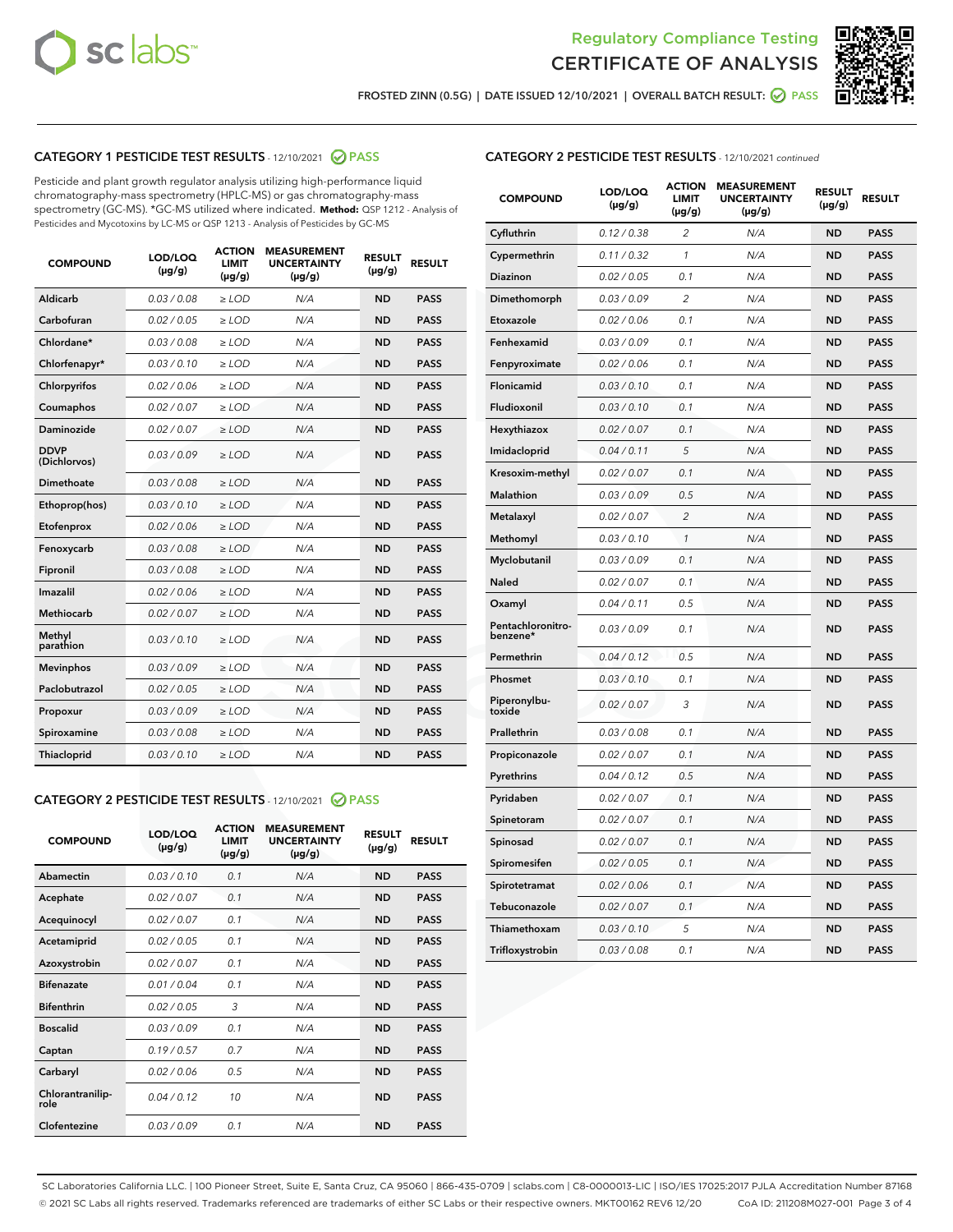



FROSTED ZINN (0.5G) | DATE ISSUED 12/10/2021 | OVERALL BATCH RESULT:  $\bigcirc$  PASS

# CATEGORY 1 PESTICIDE TEST RESULTS - 12/10/2021 2 PASS

Pesticide and plant growth regulator analysis utilizing high-performance liquid chromatography-mass spectrometry (HPLC-MS) or gas chromatography-mass spectrometry (GC-MS). \*GC-MS utilized where indicated. **Method:** QSP 1212 - Analysis of Pesticides and Mycotoxins by LC-MS or QSP 1213 - Analysis of Pesticides by GC-MS

| <b>COMPOUND</b>             | LOD/LOQ<br>$(\mu g/g)$ | <b>ACTION</b><br><b>LIMIT</b><br>$(\mu g/g)$ | <b>MEASUREMENT</b><br><b>UNCERTAINTY</b><br>$(\mu g/g)$ | <b>RESULT</b><br>$(\mu g/g)$ | <b>RESULT</b> |
|-----------------------------|------------------------|----------------------------------------------|---------------------------------------------------------|------------------------------|---------------|
| Aldicarb                    | 0.03 / 0.08            | $\ge$ LOD                                    | N/A                                                     | <b>ND</b>                    | <b>PASS</b>   |
| Carbofuran                  | 0.02/0.05              | $\ge$ LOD                                    | N/A                                                     | <b>ND</b>                    | <b>PASS</b>   |
| Chlordane*                  | 0.03 / 0.08            | $\ge$ LOD                                    | N/A                                                     | <b>ND</b>                    | <b>PASS</b>   |
| Chlorfenapyr*               | 0.03/0.10              | $\ge$ LOD                                    | N/A                                                     | <b>ND</b>                    | <b>PASS</b>   |
| Chlorpyrifos                | 0.02 / 0.06            | $\ge$ LOD                                    | N/A                                                     | <b>ND</b>                    | <b>PASS</b>   |
| Coumaphos                   | 0.02 / 0.07            | $>$ LOD                                      | N/A                                                     | <b>ND</b>                    | <b>PASS</b>   |
| Daminozide                  | 0.02 / 0.07            | $\ge$ LOD                                    | N/A                                                     | <b>ND</b>                    | <b>PASS</b>   |
| <b>DDVP</b><br>(Dichlorvos) | 0.03/0.09              | $\ge$ LOD                                    | N/A                                                     | <b>ND</b>                    | <b>PASS</b>   |
| Dimethoate                  | 0.03 / 0.08            | $>$ LOD                                      | N/A                                                     | <b>ND</b>                    | <b>PASS</b>   |
| Ethoprop(hos)               | 0.03/0.10              | $\ge$ LOD                                    | N/A                                                     | <b>ND</b>                    | <b>PASS</b>   |
| Etofenprox                  | 0.02 / 0.06            | $\ge$ LOD                                    | N/A                                                     | <b>ND</b>                    | <b>PASS</b>   |
| Fenoxycarb                  | 0.03 / 0.08            | $>$ LOD                                      | N/A                                                     | <b>ND</b>                    | <b>PASS</b>   |
| Fipronil                    | 0.03/0.08              | $\ge$ LOD                                    | N/A                                                     | <b>ND</b>                    | <b>PASS</b>   |
| Imazalil                    | 0.02 / 0.06            | $>$ LOD                                      | N/A                                                     | <b>ND</b>                    | <b>PASS</b>   |
| Methiocarb                  | 0.02 / 0.07            | $\ge$ LOD                                    | N/A                                                     | <b>ND</b>                    | <b>PASS</b>   |
| Methyl<br>parathion         | 0.03/0.10              | $\ge$ LOD                                    | N/A                                                     | <b>ND</b>                    | <b>PASS</b>   |
| <b>Mevinphos</b>            | 0.03/0.09              | $\ge$ LOD                                    | N/A                                                     | <b>ND</b>                    | <b>PASS</b>   |
| Paclobutrazol               | 0.02 / 0.05            | $\ge$ LOD                                    | N/A                                                     | <b>ND</b>                    | <b>PASS</b>   |
| Propoxur                    | 0.03/0.09              | $\ge$ LOD                                    | N/A                                                     | <b>ND</b>                    | <b>PASS</b>   |
| Spiroxamine                 | 0.03 / 0.08            | $\ge$ LOD                                    | N/A                                                     | <b>ND</b>                    | <b>PASS</b>   |
| Thiacloprid                 | 0.03/0.10              | $\ge$ LOD                                    | N/A                                                     | <b>ND</b>                    | <b>PASS</b>   |

### CATEGORY 2 PESTICIDE TEST RESULTS - 12/10/2021 @ PASS

| <b>COMPOUND</b>          | LOD/LOO<br>$(\mu g/g)$ | <b>ACTION</b><br>LIMIT<br>$(\mu g/g)$ | <b>MEASUREMENT</b><br><b>UNCERTAINTY</b><br>$(\mu g/g)$ | <b>RESULT</b><br>$(\mu g/g)$ | <b>RESULT</b> |  |
|--------------------------|------------------------|---------------------------------------|---------------------------------------------------------|------------------------------|---------------|--|
| Abamectin                | 0.03/0.10              | 0.1                                   | N/A                                                     | <b>ND</b>                    | <b>PASS</b>   |  |
| Acephate                 | 0.02/0.07              | 0.1                                   | N/A                                                     | <b>ND</b>                    | <b>PASS</b>   |  |
| Acequinocyl              | 0.02/0.07              | 0.1                                   | N/A                                                     | <b>ND</b>                    | <b>PASS</b>   |  |
| Acetamiprid              | 0.02 / 0.05            | 0.1                                   | N/A                                                     | <b>ND</b>                    | <b>PASS</b>   |  |
| Azoxystrobin             | 0.02/0.07              | 0.1                                   | N/A                                                     | <b>ND</b>                    | <b>PASS</b>   |  |
| <b>Bifenazate</b>        | 0.01 / 0.04            | 0.1                                   | N/A                                                     | <b>ND</b>                    | <b>PASS</b>   |  |
| <b>Bifenthrin</b>        | 0.02 / 0.05            | 3                                     | N/A                                                     | <b>ND</b>                    | <b>PASS</b>   |  |
| <b>Boscalid</b>          | 0.03/0.09              | 0.1                                   | N/A                                                     | <b>ND</b>                    | <b>PASS</b>   |  |
| Captan                   | 0.19/0.57              | 0.7                                   | N/A                                                     | <b>ND</b>                    | <b>PASS</b>   |  |
| Carbaryl                 | 0.02/0.06              | 0.5                                   | N/A                                                     | <b>ND</b>                    | <b>PASS</b>   |  |
| Chlorantranilip-<br>role | 0.04/0.12              | 10                                    | N/A                                                     | <b>ND</b>                    | <b>PASS</b>   |  |
| Clofentezine             | 0.03/0.09              | 0.1                                   | N/A                                                     | <b>ND</b>                    | <b>PASS</b>   |  |

| <b>CATEGORY 2 PESTICIDE TEST RESULTS</b> - 12/10/2021 continued |  |  |
|-----------------------------------------------------------------|--|--|
|                                                                 |  |  |

| <b>COMPOUND</b>               | LOD/LOQ<br>(µg/g) | <b>ACTION</b><br>LIMIT<br>(µg/g) | <b>MEASUREMENT</b><br><b>UNCERTAINTY</b><br>$(\mu g/g)$ | <b>RESULT</b><br>(µg/g) | <b>RESULT</b> |
|-------------------------------|-------------------|----------------------------------|---------------------------------------------------------|-------------------------|---------------|
| Cyfluthrin                    | 0.12 / 0.38       | $\overline{c}$                   | N/A                                                     | ND                      | <b>PASS</b>   |
| Cypermethrin                  | 0.11/0.32         | 1                                | N/A                                                     | ND                      | <b>PASS</b>   |
| <b>Diazinon</b>               | 0.02 / 0.05       | 0.1                              | N/A                                                     | ND                      | <b>PASS</b>   |
| Dimethomorph                  | 0.03 / 0.09       | 2                                | N/A                                                     | <b>ND</b>               | <b>PASS</b>   |
| Etoxazole                     | 0.02 / 0.06       | 0.1                              | N/A                                                     | ND                      | <b>PASS</b>   |
| Fenhexamid                    | 0.03 / 0.09       | 0.1                              | N/A                                                     | <b>ND</b>               | <b>PASS</b>   |
| Fenpyroximate                 | 0.02 / 0.06       | 0.1                              | N/A                                                     | ND                      | <b>PASS</b>   |
| Flonicamid                    | 0.03 / 0.10       | 0.1                              | N/A                                                     | ND                      | <b>PASS</b>   |
| Fludioxonil                   | 0.03 / 0.10       | 0.1                              | N/A                                                     | ND                      | <b>PASS</b>   |
| Hexythiazox                   | 0.02 / 0.07       | 0.1                              | N/A                                                     | ND                      | <b>PASS</b>   |
| Imidacloprid                  | 0.04 / 0.11       | 5                                | N/A                                                     | ND                      | <b>PASS</b>   |
| Kresoxim-methyl               | 0.02 / 0.07       | 0.1                              | N/A                                                     | ND                      | <b>PASS</b>   |
| Malathion                     | 0.03 / 0.09       | 0.5                              | N/A                                                     | <b>ND</b>               | <b>PASS</b>   |
| Metalaxyl                     | 0.02 / 0.07       | $\overline{c}$                   | N/A                                                     | ND                      | <b>PASS</b>   |
| Methomyl                      | 0.03 / 0.10       | 1                                | N/A                                                     | <b>ND</b>               | <b>PASS</b>   |
| Myclobutanil                  | 0.03 / 0.09       | 0.1                              | N/A                                                     | <b>ND</b>               | <b>PASS</b>   |
| Naled                         | 0.02 / 0.07       | 0.1                              | N/A                                                     | <b>ND</b>               | <b>PASS</b>   |
| Oxamyl                        | 0.04 / 0.11       | 0.5                              | N/A                                                     | <b>ND</b>               | <b>PASS</b>   |
| Pentachloronitro-<br>benzene* | 0.03/0.09         | 0.1                              | N/A                                                     | ND                      | <b>PASS</b>   |
| Permethrin                    | 0.04 / 0.12       | 0.5                              | N/A                                                     | <b>ND</b>               | <b>PASS</b>   |
| Phosmet                       | 0.03 / 0.10       | 0.1                              | N/A                                                     | ND                      | <b>PASS</b>   |
| Piperonylbu-<br>toxide        | 0.02 / 0.07       | 3                                | N/A                                                     | <b>ND</b>               | <b>PASS</b>   |
| Prallethrin                   | 0.03 / 0.08       | 0.1                              | N/A                                                     | ND                      | <b>PASS</b>   |
| Propiconazole                 | 0.02 / 0.07       | 0.1                              | N/A                                                     | <b>ND</b>               | <b>PASS</b>   |
| Pyrethrins                    | 0.04 / 0.12       | 0.5                              | N/A                                                     | ND                      | <b>PASS</b>   |
| Pyridaben                     | 0.02 / 0.07       | 0.1                              | N/A                                                     | ND                      | <b>PASS</b>   |
| Spinetoram                    | 0.02 / 0.07       | 0.1                              | N/A                                                     | <b>ND</b>               | <b>PASS</b>   |
| Spinosad                      | 0.02 / 0.07       | 0.1                              | N/A                                                     | <b>ND</b>               | <b>PASS</b>   |
| Spiromesifen                  | 0.02 / 0.05       | 0.1                              | N/A                                                     | ND                      | <b>PASS</b>   |
| Spirotetramat                 | 0.02 / 0.06       | 0.1                              | N/A                                                     | ND                      | <b>PASS</b>   |
| Tebuconazole                  | 0.02 / 0.07       | 0.1                              | N/A                                                     | ND                      | <b>PASS</b>   |
| Thiamethoxam                  | 0.03 / 0.10       | 5                                | N/A                                                     | ND                      | <b>PASS</b>   |
| Trifloxystrobin               | 0.03 / 0.08       | 0.1                              | N/A                                                     | ND                      | <b>PASS</b>   |

SC Laboratories California LLC. | 100 Pioneer Street, Suite E, Santa Cruz, CA 95060 | 866-435-0709 | sclabs.com | C8-0000013-LIC | ISO/IES 17025:2017 PJLA Accreditation Number 87168 © 2021 SC Labs all rights reserved. Trademarks referenced are trademarks of either SC Labs or their respective owners. MKT00162 REV6 12/20 CoA ID: 211208M027-001 Page 3 of 4